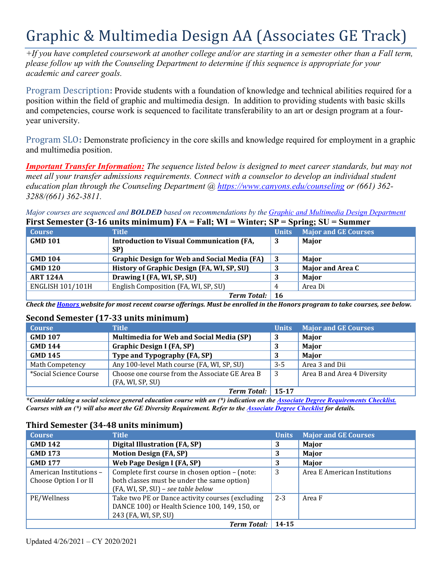# Graphic & Multimedia Design AA (Associates GE Track)

*+If you have completed coursework at another college and/or are starting in a semester other than a Fall term, please follow up with the Counseling Department to determine if this sequence is appropriate for your academic and career goals.* 

 position within the field of graphic and multimedia design. In addition to providing students with basic skills Program Description**:** Provide students with a foundation of knowledge and technical abilities required for a and competencies, course work is sequenced to facilitate transferability to an art or design program at a fouryear university.

Program SLO**:** Demonstrate proficiency in the core skills and knowledge required for employment in a graphic and multimedia position.

 *education plan through the Counseling Department @<https://www.canyons.edu/counseling> or (661) 362- Important Transfer Information: The sequence listed below is designed to meet career standards, but may not meet all your transfer admissions requirements. Connect with a counselor to develop an individual student 3288/(661) 362-3811.* 

*Major courses are sequenced and BOLDED based on recommendations by the Graphic and Multimedia Design Department* 

| First Semester (3-16 units minimum) $FA = Fall$ ; WI = Winter; SP = Spring; SU = Summer |                                                     |                |                             |
|-----------------------------------------------------------------------------------------|-----------------------------------------------------|----------------|-----------------------------|
| <b>Course</b>                                                                           | <b>Title</b>                                        | Units <i>I</i> | <b>Major and GE Courses</b> |
| <b>GMD 101</b>                                                                          | <b>Introduction to Visual Communication (FA,</b>    | 3              | Major                       |
|                                                                                         | <b>SP)</b>                                          |                |                             |
| <b>GMD 104</b>                                                                          | <b>Graphic Design for Web and Social Media (FA)</b> | -3             | Major                       |
| <b>GMD 120</b>                                                                          | History of Graphic Design (FA, WI, SP, SU)          | 3              | <b>Major and Area C</b>     |
| <b>ART 124A</b>                                                                         | Drawing I (FA, WI, SP, SU)                          | 3              | Major                       |
| <b>ENGLISH 101/101H</b>                                                                 | English Composition (FA, WI, SP, SU)                | 4              | Area Di                     |
|                                                                                         | <b>Term Total:</b> 16                               |                |                             |

*Check the Honors website for most recent course offerings. Must be enrolled in the Honors program to take courses, see below.* 

#### **Second Semester (17-33 units minimum)**

| <b>Course</b>          | <b>Title</b>                                                       | <b>Units</b> | <b>Major and GE Courses</b> |
|------------------------|--------------------------------------------------------------------|--------------|-----------------------------|
| <b>GMD 107</b>         | <b>Multimedia for Web and Social Media (SP)</b>                    | 3            | Major                       |
| <b>GMD 144</b>         | <b>Graphic Design I (FA, SP)</b>                                   | 3            | Major                       |
| <b>GMD 145</b>         | Type and Typography (FA, SP)                                       | 3            | Major                       |
| Math Competency        | Any 100-level Math course (FA, WI, SP, SU)                         | $3 - 5$      | Area 3 and Dii              |
| *Social Science Course | Choose one course from the Associate GE Area B<br>(FA, WI, SP, SU) | -3           | Area B and Area 4 Diversity |
|                        | <b>Term Total:</b> 15-17                                           |              |                             |

 *Courses with an (\*) will also meet the GE Diversity Requirement. Refer to the Associate Degree Checklist for details. \*Consider taking a social science general education course with an (\*) indication on the Associate Degree Requirements Checklist.* 

## **Third Semester (34-48 units minimum)**

| <b>Course</b>                                    | <b>Title</b>                                                                                                                         | <b>Units</b> | <b>Major and GE Courses</b>  |
|--------------------------------------------------|--------------------------------------------------------------------------------------------------------------------------------------|--------------|------------------------------|
| <b>GMD 142</b>                                   | <b>Digital Illustration (FA, SP)</b>                                                                                                 | 3            | Major                        |
| <b>GMD 173</b>                                   | <b>Motion Design (FA, SP)</b>                                                                                                        | 3            | Major                        |
| <b>GMD 177</b>                                   | Web Page Design I (FA, SP)                                                                                                           | 3            | Major                        |
| American Institutions -<br>Choose Option I or II | Complete first course in chosen option - (note:<br>both classes must be under the same option)<br>(FA, WI, SP, SU) - see table below | 3            | Area E American Institutions |
| PE/Wellness                                      | Take two PE or Dance activity courses (excluding<br>DANCE 100) or Health Science 100, 149, 150, or<br>243 (FA, WI, SP, SU)           | $2 - 3$      | Area F                       |
|                                                  | <b>Term Total:</b>                                                                                                                   | 14-15        |                              |